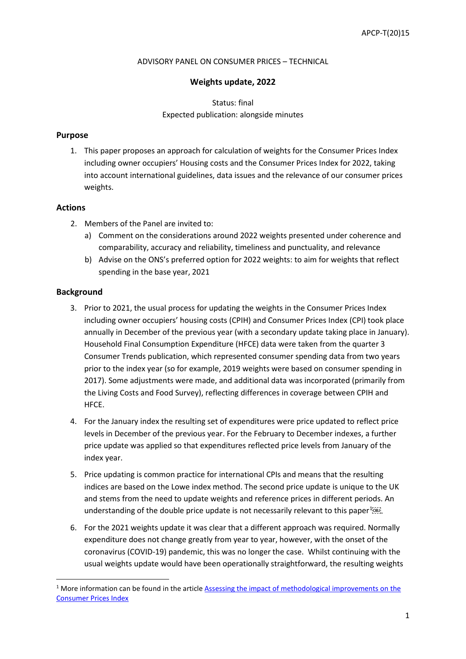#### ADVISORY PANEL ON CONSUMER PRICES – TECHNICAL

## **Weights update, 2022**

Status: final Expected publication: alongside minutes

## **Purpose**

1. This paper proposes an approach for calculation of weights for the Consumer Prices Index including owner occupiers' Housing costs and the Consumer Prices Index for 2022, taking into account international guidelines, data issues and the relevance of our consumer prices weights.

## **Actions**

- 2. Members of the Panel are invited to:
	- a) Comment on the considerations around 2022 weights presented under coherence and comparability, accuracy and reliability, timeliness and punctuality, and relevance
	- b) Advise on the ONS's preferred option for 2022 weights: to aim for weights that reflect spending in the base year, 2021

## **Background**

- 3. Prior to 2021, the usual process for updating the weights in the Consumer Prices Index including owner occupiers' housing costs (CPIH) and Consumer Prices Index (CPI) took place annually in December of the previous year (with a secondary update taking place in January). Household Final Consumption Expenditure (HFCE) data were taken from the quarter 3 Consumer Trends publication, which represented consumer spending data from two years prior to the index year (so for example, 2019 weights were based on consumer spending in 2017). Some adjustments were made, and additional data was incorporated (primarily from the Living Costs and Food Survey), reflecting differences in coverage between CPIH and HFCE.
- 4. For the January index the resulting set of expenditures were price updated to reflect price levels in December of the previous year. For the February to December indexes, a further price update was applied so that expenditures reflected price levels from January of the index year.
- 5. Price updating is common practice for international CPIs and means that the resulting indices are based on the Lowe index method. The second price update is unique to the UK and stems from the need to update weights and reference prices in different periods. An understanding of the double price update is not necessarily relevant to this paper<sup>[1](#page-0-0)</sup>[08].
- 6. For the 2021 weights update it was clear that a different approach was required. Normally expenditure does not change greatly from year to year, however, with the onset of the coronavirus (COVID-19) pandemic, this was no longer the case. Whilst continuing with the usual weights update would have been operationally straightforward, the resulting weights

<span id="page-0-0"></span><sup>&</sup>lt;sup>1</sup> More information can be found in the article Assessing the impact of methodological improvements on the [Consumer Prices Index](https://www.ons.gov.uk/economy/inflationandpriceindices/methodologies/assessingtheimpactofmethodologicalimprovementsontheconsumerpricesindex)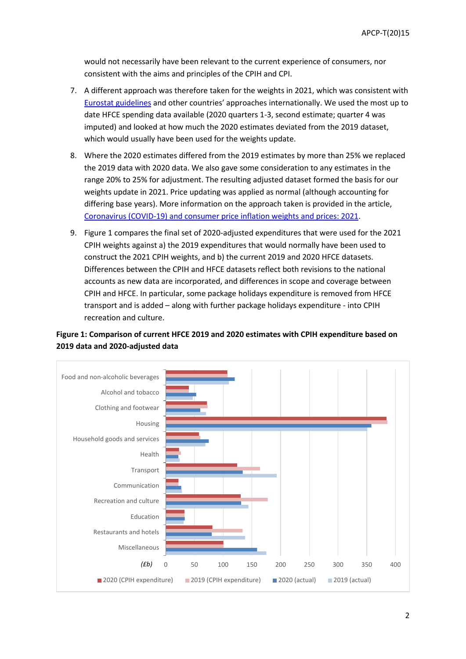would not necessarily have been relevant to the current experience of consumers, nor consistent with the aims and principles of the CPIH and CPI.

- 7. A different approach was therefore taken for the weights in 2021, which was consistent with [Eurostat guidelines](https://ec.europa.eu/eurostat/documents/10186/10693286/Guidance-on-the-compilation-of-HICP-weights-in-case-of-large-changes-in-consumer-expenditures.pdf) and other countries' approaches internationally. We used the most up to date HFCE spending data available (2020 quarters 1-3, second estimate; quarter 4 was imputed) and looked at how much the 2020 estimates deviated from the 2019 dataset, which would usually have been used for the weights update.
- 8. Where the 2020 estimates differed from the 2019 estimates by more than 25% we replaced the 2019 data with 2020 data. We also gave some consideration to any estimates in the range 20% to 25% for adjustment. The resulting adjusted dataset formed the basis for our weights update in 2021. Price updating was applied as normal (although accounting for differing base years). More information on the approach taken is provided in the article, [Coronavirus \(COVID-19\) and consumer price inflation weights and prices: 2021.](https://www.ons.gov.uk/economy/inflationandpriceindices/articles/coronaviruscovid19andconsumerpriceinflationweightsandprices/2021)
- 9. Figure 1 compares the final set of 2020-adjusted expenditures that were used for the 2021 CPIH weights against a) the 2019 expenditures that would normally have been used to construct the 2021 CPIH weights, and b) the current 2019 and 2020 HFCE datasets. Differences between the CPIH and HFCE datasets reflect both revisions to the national accounts as new data are incorporated, and differences in scope and coverage between CPIH and HFCE. In particular, some package holidays expenditure is removed from HFCE transport and is added – along with further package holidays expenditure - into CPIH recreation and culture.



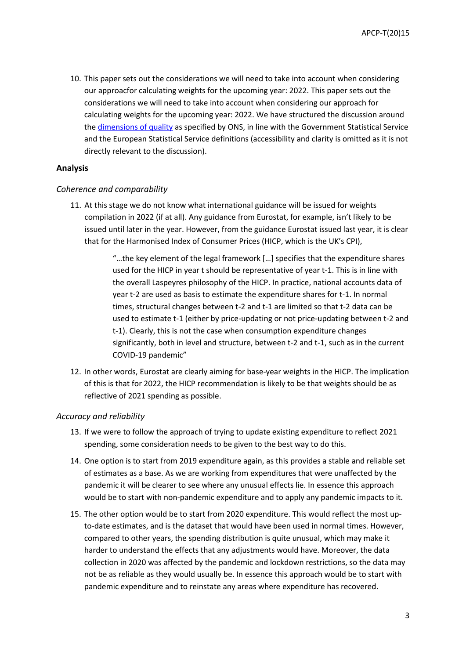10. This paper sets out the considerations we will need to take into account when considering our approacfor calculating weights for the upcoming year: 2022. This paper sets out the considerations we will need to take into account when considering our approach for calculating weights for the upcoming year: 2022. We have structured the discussion around the [dimensions of quality](https://www.ons.gov.uk/methodology/methodologytopicsandstatisticalconcepts/qualityinofficialstatistics/qualitydefined) as specified by ONS, in line with the Government Statistical Service and the European Statistical Service definitions (accessibility and clarity is omitted as it is not directly relevant to the discussion).

#### **Analysis**

#### *Coherence and comparability*

11. At this stage we do not know what international guidance will be issued for weights compilation in 2022 (if at all). Any guidance from Eurostat, for example, isn't likely to be issued until later in the year. However, from the guidance Eurostat issued last year, it is clear that for the Harmonised Index of Consumer Prices (HICP, which is the UK's CPI),

> "…the key element of the legal framework […] specifies that the expenditure shares used for the HICP in year t should be representative of year t-1. This is in line with the overall Laspeyres philosophy of the HICP. In practice, national accounts data of year t-2 are used as basis to estimate the expenditure shares for t-1. In normal times, structural changes between t-2 and t-1 are limited so that t-2 data can be used to estimate t-1 (either by price-updating or not price-updating between t-2 and t-1). Clearly, this is not the case when consumption expenditure changes significantly, both in level and structure, between t-2 and t-1, such as in the current COVID-19 pandemic"

12. In other words, Eurostat are clearly aiming for base-year weights in the HICP. The implication of this is that for 2022, the HICP recommendation is likely to be that weights should be as reflective of 2021 spending as possible.

#### *Accuracy and reliability*

- 13. If we were to follow the approach of trying to update existing expenditure to reflect 2021 spending, some consideration needs to be given to the best way to do this.
- 14. One option is to start from 2019 expenditure again, as this provides a stable and reliable set of estimates as a base. As we are working from expenditures that were unaffected by the pandemic it will be clearer to see where any unusual effects lie. In essence this approach would be to start with non-pandemic expenditure and to apply any pandemic impacts to it.
- 15. The other option would be to start from 2020 expenditure. This would reflect the most upto-date estimates, and is the dataset that would have been used in normal times. However, compared to other years, the spending distribution is quite unusual, which may make it harder to understand the effects that any adjustments would have. Moreover, the data collection in 2020 was affected by the pandemic and lockdown restrictions, so the data may not be as reliable as they would usually be. In essence this approach would be to start with pandemic expenditure and to reinstate any areas where expenditure has recovered.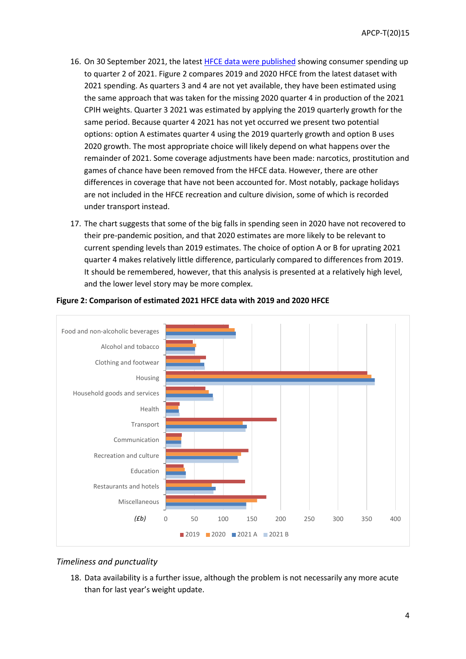- 16. On 30 September 2021, the latest [HFCE data were published](https://www.ons.gov.uk/economy/nationalaccounts/satelliteaccounts/bulletins/consumertrends/apriltojune2021) showing consumer spending up to quarter 2 of 2021. Figure 2 compares 2019 and 2020 HFCE from the latest dataset with 2021 spending. As quarters 3 and 4 are not yet available, they have been estimated using the same approach that was taken for the missing 2020 quarter 4 in production of the 2021 CPIH weights. Quarter 3 2021 was estimated by applying the 2019 quarterly growth for the same period. Because quarter 4 2021 has not yet occurred we present two potential options: option A estimates quarter 4 using the 2019 quarterly growth and option B uses 2020 growth. The most appropriate choice will likely depend on what happens over the remainder of 2021. Some coverage adjustments have been made: narcotics, prostitution and games of chance have been removed from the HFCE data. However, there are other differences in coverage that have not been accounted for. Most notably, package holidays are not included in the HFCE recreation and culture division, some of which is recorded under transport instead.
- 17. The chart suggests that some of the big falls in spending seen in 2020 have not recovered to their pre-pandemic position, and that 2020 estimates are more likely to be relevant to current spending levels than 2019 estimates. The choice of option A or B for uprating 2021 quarter 4 makes relatively little difference, particularly compared to differences from 2019. It should be remembered, however, that this analysis is presented at a relatively high level, and the lower level story may be more complex.



#### **Figure 2: Comparison of estimated 2021 HFCE data with 2019 and 2020 HFCE**

#### *Timeliness and punctuality*

18. Data availability is a further issue, although the problem is not necessarily any more acute than for last year's weight update.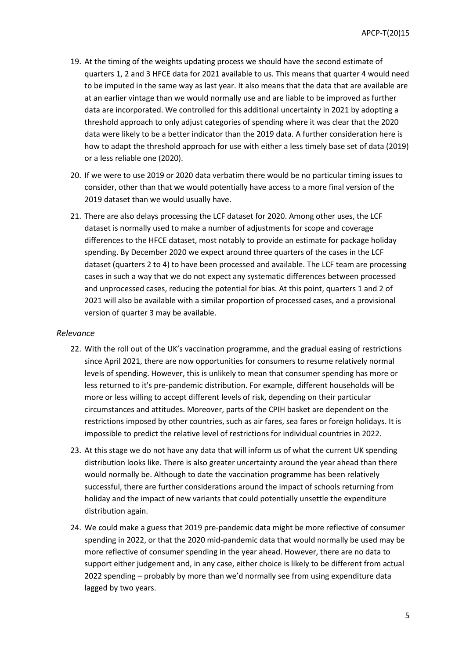- 19. At the timing of the weights updating process we should have the second estimate of quarters 1, 2 and 3 HFCE data for 2021 available to us. This means that quarter 4 would need to be imputed in the same way as last year. It also means that the data that are available are at an earlier vintage than we would normally use and are liable to be improved as further data are incorporated. We controlled for this additional uncertainty in 2021 by adopting a threshold approach to only adjust categories of spending where it was clear that the 2020 data were likely to be a better indicator than the 2019 data. A further consideration here is how to adapt the threshold approach for use with either a less timely base set of data (2019) or a less reliable one (2020).
- 20. If we were to use 2019 or 2020 data verbatim there would be no particular timing issues to consider, other than that we would potentially have access to a more final version of the 2019 dataset than we would usually have.
- 21. There are also delays processing the LCF dataset for 2020. Among other uses, the LCF dataset is normally used to make a number of adjustments for scope and coverage differences to the HFCE dataset, most notably to provide an estimate for package holiday spending. By December 2020 we expect around three quarters of the cases in the LCF dataset (quarters 2 to 4) to have been processed and available. The LCF team are processing cases in such a way that we do not expect any systematic differences between processed and unprocessed cases, reducing the potential for bias. At this point, quarters 1 and 2 of 2021 will also be available with a similar proportion of processed cases, and a provisional version of quarter 3 may be available.

#### *Relevance*

- 22. With the roll out of the UK's vaccination programme, and the gradual easing of restrictions since April 2021, there are now opportunities for consumers to resume relatively normal levels of spending. However, this is unlikely to mean that consumer spending has more or less returned to it's pre-pandemic distribution. For example, different households will be more or less willing to accept different levels of risk, depending on their particular circumstances and attitudes. Moreover, parts of the CPIH basket are dependent on the restrictions imposed by other countries, such as air fares, sea fares or foreign holidays. It is impossible to predict the relative level of restrictions for individual countries in 2022.
- 23. At this stage we do not have any data that will inform us of what the current UK spending distribution looks like. There is also greater uncertainty around the year ahead than there would normally be. Although to date the vaccination programme has been relatively successful, there are further considerations around the impact of schools returning from holiday and the impact of new variants that could potentially unsettle the expenditure distribution again.
- 24. We could make a guess that 2019 pre-pandemic data might be more reflective of consumer spending in 2022, or that the 2020 mid-pandemic data that would normally be used may be more reflective of consumer spending in the year ahead. However, there are no data to support either judgement and, in any case, either choice is likely to be different from actual 2022 spending – probably by more than we'd normally see from using expenditure data lagged by two years.